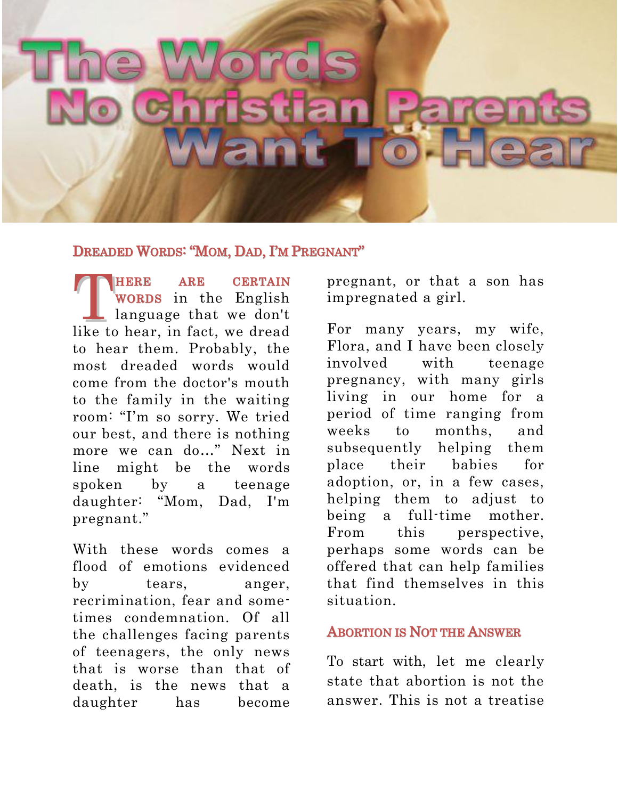# IST a ray

## DREADED WORDS: "MOM, DAD, I'M PREGNANT"

HERE ARE CERTAIN WORDS in the English language that we don't **CERTAIN**<br> **WORDS** in the English<br>
language that we don't<br>
like to hear, in fact, we dread to hear them. Probably, the most dreaded words would come from the doctor's mouth to the family in the waiting room: "I'm so sorry. We tried our best, and there is nothing more we can do…" Next in line might be the words spoken by a teenage daughter: "Mom, Dad, I'm pregnant."

With these words comes a flood of emotions evidenced by tears, anger, recrimination, fear and sometimes condemnation. Of all the challenges facing parents of teenagers, the only news that is worse than that of death, is the news that a daughter has become

pregnant, or that a son has impregnated a girl.

For many years, my wife, Flora, and I have been closely involved with teenage pregnancy, with many girls living in our home for a period of time ranging from weeks to months, and subsequently helping them place their babies for adoption, or, in a few cases, helping them to adjust to being a full-time mother. From this perspective, perhaps some words can be offered that can help families that find themselves in this situation.

## ABORTION IS NOT THE ANSWER

To start with, let me clearly state that abortion is not the answer. This is not a treatise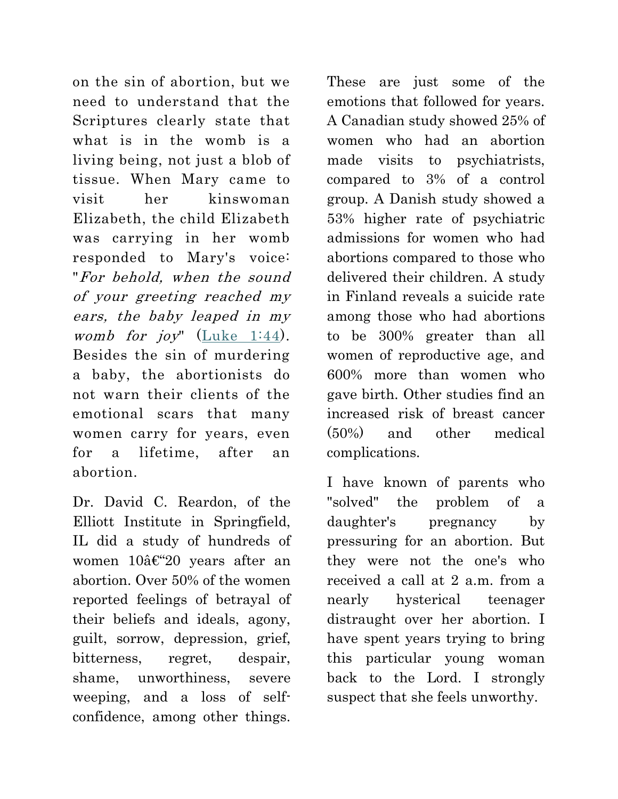on the sin of abortion, but we need to understand that the Scriptures clearly state that what is in the womb is a living being, not just a blob of tissue. When Mary came to visit her kinswoman Elizabeth, the child Elizabeth was carrying in her womb responded to Mary's voice: "For behold, when the sound of your greeting reached my ears, the baby leaped in my womb for joy" (Luke  $1:44$ ). Besides the sin of murdering a baby, the abortionists do not warn their clients of the emotional scars that many women carry for years, even for a lifetime, after an abortion.

Dr. David C. Reardon, of the Elliott Institute in Springfield, IL did a study of hundreds of women  $10$ â $\epsilon$ "20 years after an abortion. Over 50% of the women reported feelings of betrayal of their beliefs and ideals, agony, guilt, sorrow, depression, grief, bitterness, regret, despair, shame, unworthiness, severe weeping, and a loss of selfconfidence, among other things.

These are just some of the emotions that followed for years. A Canadian study showed 25% of women who had an abortion made visits to psychiatrists, compared to 3% of a control group. A Danish study showed a 53% higher rate of psychiatric admissions for women who had abortions compared to those who delivered their children. A study in Finland reveals a suicide rate among those who had abortions to be 300% greater than all women of reproductive age, and 600% more than women who gave birth. Other studies find an increased risk of breast cancer (50%) and other medical complications.

I have known of parents who "solved" the problem of a daughter's pregnancy by pressuring for an abortion. But they were not the one's who received a call at 2 a.m. from a nearly hysterical teenager distraught over her abortion. I have spent years trying to bring this particular young woman back to the Lord. I strongly suspect that she feels unworthy.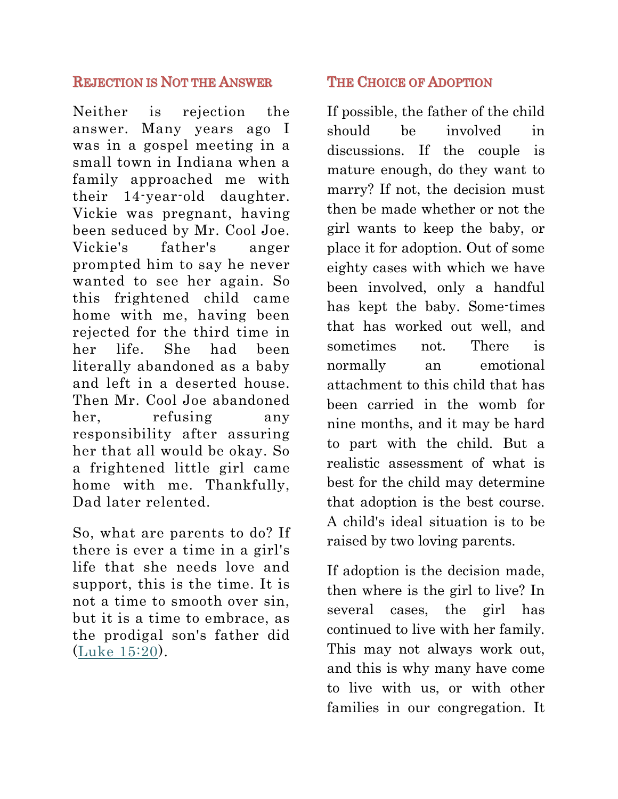# REJECTION IS NOT THE ANSWER

Neither is rejection the answer. Many years ago I was in a gospel meeting in a small town in Indiana when a family approached me with their 14-year-old daughter. Vickie was pregnant, having been seduced by Mr. Cool Joe. Vickie's father's anger prompted him to say he never wanted to see her again. So this frightened child came home with me, having been rejected for the third time in her life. She had been literally abandoned as a baby and left in a deserted house. Then Mr. Cool Joe abandoned her, refusing any responsibility after assuring her that all would be okay. So a frightened little girl came home with me. Thankfully, Dad later relented.

So, what are parents to do? If there is ever a time in a girl's life that she needs love and support, this is the time. It is not a time to smooth over sin, but it is a time to embrace, as the prodigal son's father did [\(Luke 15:20\)](http://biblia.com/bible/nkjv/Luke%2015.20).

# THE CHOICE OF ADOPTION

If possible, the father of the child should be involved in discussions. If the couple is mature enough, do they want to marry? If not, the decision must then be made whether or not the girl wants to keep the baby, or place it for adoption. Out of some eighty cases with which we have been involved, only a handful has kept the baby. Some-times that has worked out well, and sometimes not. There is normally an emotional attachment to this child that has been carried in the womb for nine months, and it may be hard to part with the child. But a realistic assessment of what is best for the child may determine that adoption is the best course. A child's ideal situation is to be raised by two loving parents.

If adoption is the decision made, then where is the girl to live? In several cases, the girl has continued to live with her family. This may not always work out, and this is why many have come to live with us, or with other families in our congregation. It